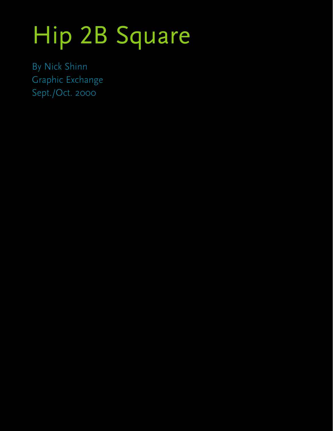# Hip 2B Square

By Nick Shinn Graphic Exchange Sept./Oct. 2000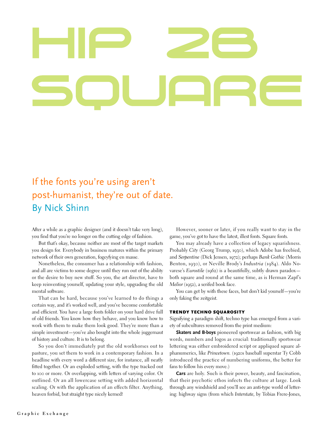## If the fonts you're using aren't post-humanist, they're out of date. By Nick Shinn

After a while as a graphic designer (and it doesn't take very long), you find that you're no longer on the cutting edge of fashion.

But that's okay, because neither are most of the target markets you design for. Everybody in business matures within the primary network of their own generation, fogeyfying en masse.

Nonetheless, the consumer has a relationship with fashion, and all are victims to some degree until they run out of the ability or the desire to buy new stuff. So you, the art director, have to keep reinventing yourself, updating your style, upgrading the old mental software.

That can be hard, because you've learned to do things a certain way, and it's worked well, and you've become comfortable and efficient. You have a large fonts folder on your hard drive full of old friends. You know how they behave, and you know how to work with them to make them look good. They're more than a simple investment—you've also bought into the whole juggernaut of history and culture. It is to belong.

So you don't immediately put the old workhorses out to pasture, you set them to work in a contemporary fashion. In a headline with every word a different size, for instance, all neatly fitted together. Or an exploded setting, with the type tracked out to 100 or more. Or overlapping, with letters of varying color. Or outlined. Or an all lowercase setting with added horizontal scaling. Or with the application of an effects filter. Anything, heaven forbid, but straight type nicely kerned!

However, sooner or later, if you really want to stay in the game, you've got to have the latest, illest fonts. Square fonts.

You may already have a collection of legacy squarishness. Probably *City* (Georg Trump, 1930), which Adobe has freebied, and *Serpentine* (Dick Jensen, 1972); perhaps *Bank Gothic* (Morris Benton, 1930), or Neville Brody's *Industria* (1984). Aldo Novarese's *Eurostile* (1962) is a beautifully, subtly drawn paradox both square and round at the same time, as is Herman Zapf's *Melior* (1952), a serifed book face.

You can get by with these faces, but don't kid yourself—you're only faking the zeitgeist.

#### TRENDY TECHNO SQUAROSITY

Signifying a paradigm shift, techno type has emerged from a variety of subcultures removed from the print medium:

**Skaters and B-boys** pioneered sportswear as fashion, with big words, numbers and logos as crucial: traditionally sportswear lettering was either embroidered script or appliqued square alphanumerics, like *Princetown.* (1920s baseball superstar Ty Cobb introduced the practice of numbering uniforms, the better for fans to follow his every move.)

**Cars** are holy. Such is their power, beauty, and fascination, that their psychotic ethos infects the culture at large. Look through any windshield and you'll see an anti-type world of lettering: highway signs (from which *Interstate,* by Tobias Frere-Jones,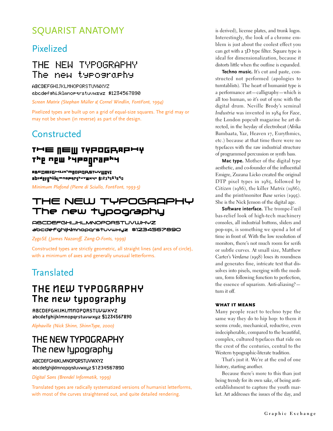## SQUARIST ANATOMY

#### Pixelized

#### THE NEW TYPOGRAPHY The new typography

**ABCDEFGHIJKLMNOPQRSTUVWXYZ** abcdefshijklmnoparstuvwxyz \$1234567890

*Screen Matrix (Stephan Müller & Cornel Windlin, FontFont, 1994)* 

Pixelized types are built up on a grid of equal-size squares. The grid may or may not be shown (in reverse) as part of the design.

#### **Constructed**

#### THE NEW TYPOGRAPHY The new theography

RBCDEFGHIJK'MNOPQPSTUYWXYI abcdef0hiiklwnopqr5twYw×4× \$123t56789o *Minimum Plafond (Pierre di Sciullo, FontFont, 1993-5)*

#### THE NEW TYPOGRAPHY The new typography

ABCDEFGHIJHLMNOPORSTUVWHYZ abcdefghijk|mnopqrstuvwxyz \$1234567890

*ZygoSE (James Nazaroff, Zang-O-Fonts, 1999)*

Constructed types are strictly geometric, all straight lines (and arcs of circle), with a minimum of axes and generally unusual letterforms.

## **Translated**

### THE MEW TYPOGRAPHY The new typography

**ABCDEFGHIJKLMMOPORSTUVWXYZ** abcdefghijklmnopqrstuvwxyz \$1234567890

*Alphaville (Nick Shinn, ShinnType, 2000)*

### THE NEW TYPOGRAPHY The new typography

**ABCDEFGHIJKLMNOPORSTUVWXYZ** abcdefghijklmnopgrstuvwxyz \$1234567890

*Digital Sans (Brendel Informatik, 1999)*

Translated types are radically systematized versions of humanist letterforms, with most of the curves straightened out, and quite detailed rendering.

is derived), license plates, and trunk logos. Interestingly, the look of a chrome emblem is just about the coolest effect you can get with a  $3D$  type filter. Square type is ideal for dimensionalization, because it distorts little when the outline is expanded.

**Techno music.** It's cut and paste, constructed not performed (apologies to turntablists). The heart of humanist type is a performance art—calligraphy—which is all too human, so it's out of sync with the digital drum. Neville Brody's seminal *Industria* was invented in 1984 for *Face*, the London popcult magazine he art directed, in the heyday of electrobeat (Afrika Bambaata, Yaz, Heaven 17, Eurythmics, etc.) because at that time there were no typefaces with the raw industrial structure of programmed percussion or synth bass.

**Mac type.** Mother of the digital type aesthetic, and co-founder of the influential Emigre, Zuzana Licko created the original DTP pixel types in 1985, followed by *Citizen* (1986), the killer *Matrix* (1986), and the print/monitor *Base* series (1995). She is the Nick Jenson of the digital age.

**Software interface.** The trompe-l'œil bas-relief look of high-tech machinery consoles, all industrial buttons, sliders and pop-ups, is something we spend a lot of time in front of. With the low resolution of monitors, there's not much room for serifs or subtle curves. At small size, Matthew Carter's *Verdana* (1998) loses its roundness and generates fine, intricate text that dissolves into pixels, merging with the medium, form following function to perfection, the essence of squarism. Anti-aliasing? turn it off.

#### WHAT IT MEANS

Many people react to techno type the same way they do to hip hop: to them it seems crude, mechanical, reductive, even indecipherable, compared to the beautiful, complex, cultured typefaces that ride on the crest of the centuries, central to the Western typographic-literate tradition.

That's just it. We're at the end of one history, starting another.

Because there's more to this than just being trendy for its own sake, of being antiestablishment to capture the youth market. Art addresses the issues of the day, and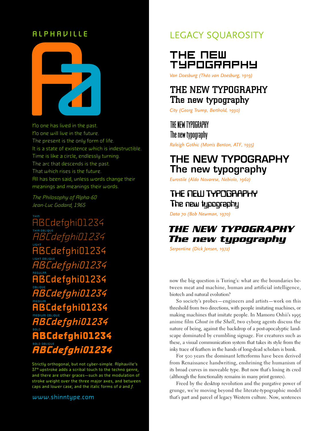#### ALPHAVILLE



No one has lived in the past. No one will live in the future. The present is the only form of life. It is a state of existence which is indestructible. Time is like a circle, endlessly turning. The arc that descends is the past. That which rises is the future. All has been said, unless words change their meanings and meanings their words.

The Philosophy of Alpha-60 Jean-Luc Godard, 1965

ABCdefghi01234 THIN OBLIQUE Cdefahi01234 LIGHT ABCdefghi01234 LIGHT OBLIQUE Cdefahi01234 REGULAR ABCdefghi01234 。。。。。。<br>ABCdefghi01234 MEDIUM ABCdefghi01234 menum osuove<br>**ABCdefghi01234** BOLD **ABCdefghi01234** BOLD OBLIQUE *ABCdefghi01234*

Strictly orthogonal, but not cyber-simple. Alphaville's 37° upstroke adds a scribal touch to the techno genre, and there are other graces—such as the modulation of stroke weight over the three major axes, and between caps and lower case; and the italic forms of  $a$  and  $f$ .

#### www.shinntype.com

#### LEGACY SQUAROSITY

#### THE NEW TYPOGRAPHY

*Van Doesburg (Théo van Doesburg, 1919)* 

#### THE NEW TYPOGRAPHY The new typography

*City (Georg Trump, Berthold, 1930)* 

## THE NEW TYPOGRAPHY

The new typography

*Raleigh Gothic (Morris Benton, ATF, 1935)* 

### THE NEW TYPOGRAPHY The new typography

*Eurostile (Aldo Novarese, Nebiolo, 1962)*

#### THE MELLI TYPOGRAPHY The new typography

*Data 70 (Bob Newman, 1970)* 

#### **THE NEW TYPOGRAPHY** The new typography

*Serpentine (Dick Jensen, 1972)* 

now the big question is Turing's: what are the boundaries between meat and machine, human and artificial intelligence, biotech and natural evolution?

So society's probes—engineers and artists—work on this threshold from two directions, with people imitating machines, or making machines that imitate people. In Mamoru Oshii's 1995 anime film *Ghost in the Shell*, two cyborg agents discuss the nature of being, against the backdrop of a post-apocalyptic landscape dominated by crumbling signage. For creatures such as these, a visual communication system that takes its style from the inky trace of feathers in the hands of long-dead scholars is bunk.

For 500 years the dominant letterforms have been derived from Renaissance handwriting, enshrining the humanism of its broad curves in moveable type. But now that's losing its cred (although the functionality remains in many print genres).

Freed by the desktop revolution and the purgative power of grunge, we're moving beyond the literate-typographic model that's part and parcel of legacy Western culture. Now, sentences